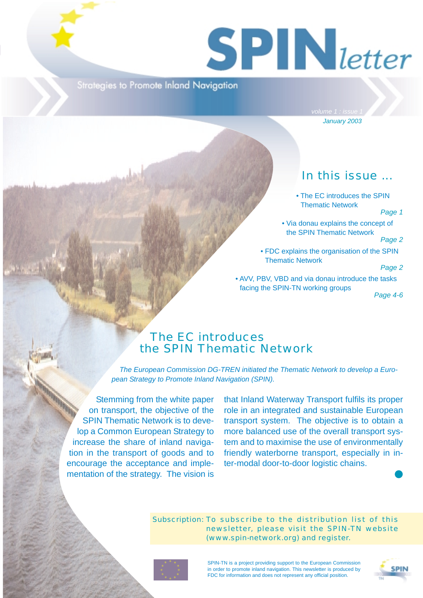# $S$  **PIN** letter

Strategies to Promote Inland Navigation

*January 2003*

# In this issue ...

• The EC introduces the SPIN Thematic Network

### *Page 1*

• Via donau explains the concept of the SPIN Thematic Network

*Page 2*

• FDC explains the organisation of the SPIN Thematic Network

### *Page 2*

• AVV, PBV, VBD and via donau introduce the tasks facing the SPIN-TN working groups

*Page 4-6*

# The EC introduces the SPIN Thematic Network

*The European Commission DG-TREN initiated the Thematic Network to develop a European Strategy to Promote Inland Navigation (SPIN).*

Stemming from the white paper on transport, the objective of the SPIN Thematic Network is to develop a Common European Strategy to increase the share of inland navigation in the transport of goods and to encourage the acceptance and implementation of the strategy. The vision is

that Inland Waterway Transport fulfils its proper role in an integrated and sustainable European transport system. The objective is to obtain a more balanced use of the overall transport system and to maximise the use of environmentally friendly waterborne transport, especially in inter-modal door-to-door logistic chains.

### Subscription: To subscribe to the distribution list of this newsletter, please visit the SPIN-TN website (www.spin-network.org) and register.



SPIN-TN is a project providing support to the European Commission in order to promote inland navigation. This newsletter is produced by FDC for information and does not represent any official position.



❶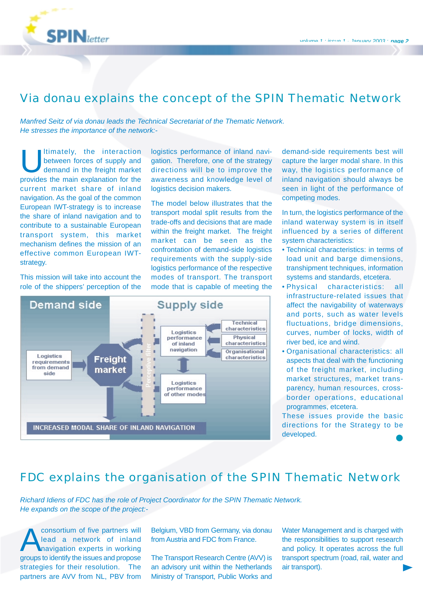

# Via donau explains the concept of the SPIN Thematic Network

*Manfred Seitz of via donau leads the Technical Secretariat of the Thematic Network. He stresses the importance of the network:-*

Itimately, the interaction between forces of supply and demand in the freight market provides the main explanation for the current market share of inland navigation. As the goal of the common European IWT-strategy is to increase the share of inland navigation and to contribute to a sustainable European transport system, this market mechanism defines the mission of an effective common European IWTstrategy.

This mission will take into account the role of the shippers' perception of the

logistics performance of inland navigation. Therefore, one of the strategy directions will be to improve the awareness and knowledge level of logistics decision makers.

The model below illustrates that the transport modal split results from the trade-offs and decisions that are made within the freight market. The freight market can be seen as the confrontation of demand-side logistics requirements with the supply-side logistics performance of the respective modes of transport. The transport mode that is capable of meeting the



demand-side requirements best will capture the larger modal share. In this way, the logistics performance of inland navigation should always be seen in light of the performance of competing modes.

In turn, the logistics performance of the inland waterway system is in itself influenced by a series of different system characteristics:

- Technical characteristics: in terms of load unit and barge dimensions, transhipment techniques, information systems and standards, etcetera.
- Physical characteristics: all infrastructure-related issues that affect the navigability of waterways and ports, such as water levels fluctuations, bridge dimensions, curves, number of locks, width of river bed, ice and wind.
- Organisational characteristics: all aspects that deal with the functioning of the freight market, including market structures, market transparency, human resources, crossborder operations, educational programmes, etcetera.

These issues provide the basic directions for the Strategy to be developed.

# FDC explains the organisation of the SPIN Thematic Network

*Richard Idiens of FDC has the role of Project Coordinator for the SPIN Thematic Network. He expands on the scope of the project:-*

Consortium of five partners will<br>lead a network of inland<br>mavigation experts in working lead a network of inland navigation experts in working groups to identify the issues and propose strategies for their resolution. The partners are AVV from NL, PBV from Belgium, VBD from Germany, via donau from Austria and FDC from France.

The Transport Research Centre (AVV) is an advisory unit within the Netherlands Ministry of Transport, Public Works and

Water Management and is charged with the responsibilities to support research and policy. It operates across the full transport spectrum (road, rail, water and air transport).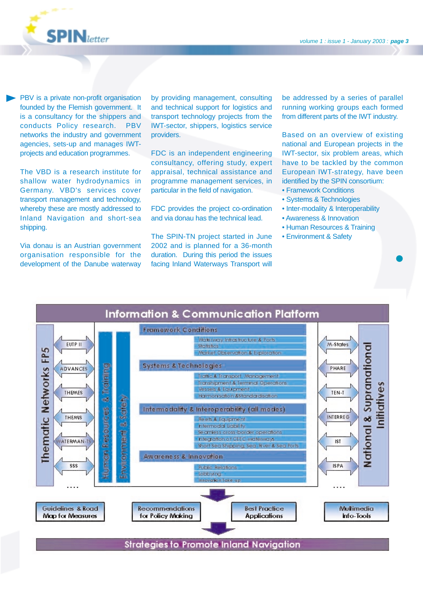

PBV is a private non-profit organisation founded by the Flemish government. It is a consultancy for the shippers and conducts Policy research. PBV networks the industry and government agencies, sets-up and manages IWTprojects and education programmes.

The VBD is a research institute for shallow water hydrodynamics in Germany. VBD's services cover transport management and technology, whereby these are mostly addressed to Inland Navigation and short-sea shipping.

Via donau is an Austrian government organisation responsible for the development of the Danube waterway by providing management, consulting and technical support for logistics and transport technology projects from the IWT-sector, shippers, logistics service providers.

FDC is an independent engineering consultancy, offering study, expert appraisal, technical assistance and programme management services, in particular in the field of navigation.

FDC provides the project co-ordination and via donau has the technical lead.

The SPIN-TN project started in June 2002 and is planned for a 36-month duration. During this period the issues facing Inland Waterways Transport will be addressed by a series of parallel running working groups each formed from different parts of the IWT industry.

Based on an overview of existing national and European projects in the IWT-sector, six problem areas, which have to be tackled by the common European IWT-strategy, have been identified by the SPIN consortium:

❶

- Framework Conditions
- Systems & Technologies
- Inter-modality & Interoperability
- Awareness & Innovation
- Human Resources & Training
- Environment & Safety

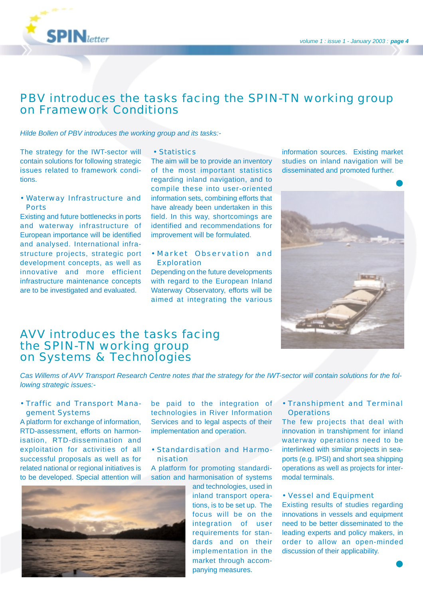

# PBV introduces the tasks facing the SPIN-TN working group on Framework Conditions

*Hilde Bollen of PBV introduces the working group and its tasks:-*

The strategy for the IWT-sector will contain solutions for following strategic issues related to framework conditions.

• Waterway Infrastructure and Ports

Existing and future bottlenecks in ports and waterway infrastructure of European importance will be identified and analysed. International infrastructure projects, strategic port development concepts, as well as innovative and more efficient infrastructure maintenance concepts are to be investigated and evaluated.

### • Statistics

The aim will be to provide an inventory of the most important statistics regarding inland navigation, and to compile these into user-oriented information sets, combining efforts that have already been undertaken in this field. In this way, shortcomings are identified and recommendations for improvement will be formulated.

• Market Observation and Exploration

Depending on the future developments with regard to the European Inland Waterway Observatory, efforts will be aimed at integrating the various information sources. Existing market studies on inland navigation will be disseminated and promoted further.



## AVV introduces the tasks facing the SPIN-TN working group on Systems & Technologies

*Cas Willems of AVV Transport Research Centre notes that the strategy for the IWT-sector will contain solutions for the following strategic issues:-*

### • Traffic and Transport Management Systems

A platform for exchange of information, RTD-assessment, efforts on harmonisation, RTD-dissemination and exploitation for activities of all successful proposals as well as for related national or regional initiatives is to be developed. Special attention will

be paid to the integration of technologies in River Information Services and to legal aspects of their implementation and operation.

• Standardisation and Harmonisation

A platform for promoting standardisation and harmonisation of systems

> and technologies, used in inland transport operations, is to be set up. The focus will be on the integration of user requirements for standards and on their implementation in the market through accompanying measures.

• Transhipment and Terminal **Operations** 

The few projects that deal with innovation in transhipment for inland waterway operations need to be interlinked with similar projects in seaports (e.g. IPSI) and short sea shipping operations as well as projects for intermodal terminals.

### • Vessel and Equipment

Existing results of studies regarding innovations in vessels and equipment need to be better disseminated to the leading experts and policy makers, in order to allow an open-minded discussion of their applicability.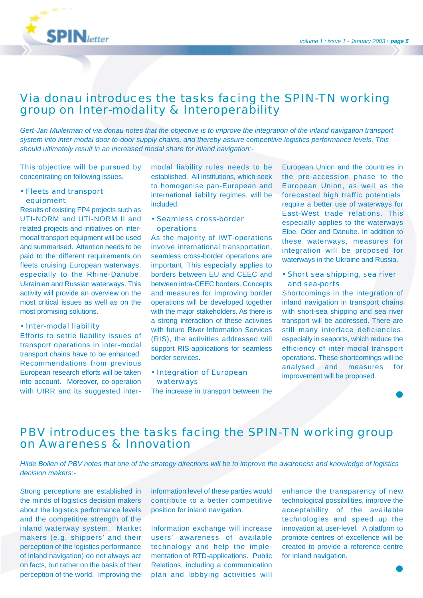

# Via donau introduces the tasks facing the SPIN-TN working group on Inter-modality & Interoperability

*Gert-Jan Muilerman of via donau notes that the objective is to improve the integration of the inland navigation transport system into inter-modal door-to-door supply chains, and thereby assure competitive logistics performance levels. This should ultimately result in an increased modal share for inland navigation:-*

This objective will be pursued by concentrating on following issues.

• Fleets and transport equipment

Results of existing FP4 projects such as UTI-NORM and UTI-NORM II and related projects and initiatives on intermodal transport equipment will be used and summarised. Attention needs to be paid to the different requirements on fleets cruising European waterways, especially to the Rhine-Danube, Ukrainian and Russian waterways. This activity will provide an overview on the most critical issues as well as on the most promising solutions.

• Inter-modal liability

Efforts to settle liability issues of transport operations in inter-modal transport chains have to be enhanced. Recommendations from previous European research efforts will be taken into account. Moreover, co-operation with UIRR and its suggested intermodal liability rules needs to be established. All institutions, which seek to homogenise pan-European and international liability regimes, will be included.

• Seamless cross-border operations

As the majority of IWT-operations involve international transportation, seamless cross-border operations are important. This especially applies to borders between EU and CEEC and between intra-CEEC borders. Concepts and measures for improving border operations will be developed together with the major stakeholders. As there is a strong interaction of these activities with future River Information Services (RIS), the activities addressed will support RIS-applications for seamless border services.

• Integration of European waterways

The increase in transport between the

European Union and the countries in the pre-accession phase to the European Union, as well as the forecasted high traffic potentials, require a better use of waterways for East-West trade relations. This especially applies to the waterways Elbe, Oder and Danube. In addition to these waterways, measures for integration will be proposed for waterways in the Ukraine and Russia.

• Short sea shipping, sea river and sea-ports

Shortcomings in the integration of inland navigation in transport chains with short-sea shipping and sea river transport will be addressed. There are still many interface deficiencies, especially in seaports, which reduce the efficiency of inter-modal transport operations. These shortcomings will be analysed and measures for improvement will be proposed.

# PBV introduces the tasks facing the SPIN-TN working group on Awareness & Innovation

*Hilde Bollen of PBV notes that one of the strategy directions will be to improve the awareness and knowledge of logistics decision makers:-*

Strong perceptions are established in the minds of logistics decision makers about the logistics performance levels and the competitive strength of the inland waterway system. Market makers (e.g. shippers' and their perception of the logistics performance of inland navigation) do not always act on facts, but rather on the basis of their perception of the world. Improving the information level of these parties would contribute to a better competitive position for inland navigation.

Information exchange will increase users' awareness of available technology and help the implementation of RTD-applications. Public Relations, including a communication plan and lobbying activities will

enhance the transparency of new technological possibilities, improve the acceptability of the available technologies and speed up the innovation at user-level. A platform to promote centres of excellence will be created to provide a reference centre for inland navigation.

❶

❶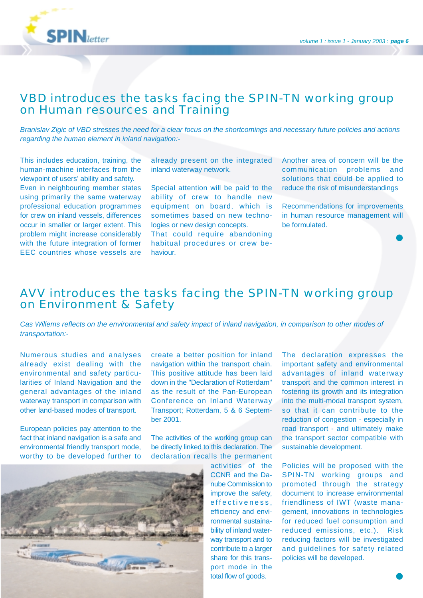

# VBD introduces the tasks facing the SPIN-TN working group on Human resources and Training

*Branislav Zigic of VBD stresses the need for a clear focus on the shortcomings and necessary future policies and actions regarding the human element in inland navigation:-*

This includes education, training, the human-machine interfaces from the viewpoint of users' ability and safety. Even in neighbouring member states using primarily the same waterway professional education programmes for crew on inland vessels, differences occur in smaller or larger extent. This problem might increase considerably with the future integration of former EEC countries whose vessels are already present on the integrated inland waterway network.

Special attention will be paid to the ability of crew to handle new equipment on board, which is sometimes based on new technologies or new design concepts. That could require abandoning

habitual procedures or crew behaviour.

Another area of concern will be the communication problems and solutions that could be applied to reduce the risk of misunderstandings

Recommendations for improvements in human resource management will be formulated.

❶

# AVV introduces the tasks facing the SPIN-TN working group on Environment & Safety

*Cas Willems reflects on the environmental and safety impact of inland navigation, in comparison to other modes of transportation:-*

Numerous studies and analyses already exist dealing with the environmental and safety particularities of Inland Navigation and the general advantages of the inland waterway transport in comparison with other land-based modes of transport.

European policies pay attention to the fact that inland navigation is a safe and environmental friendly transport mode, worthy to be developed further to

create a better position for inland navigation within the transport chain. This positive attitude has been laid down in the "Declaration of Rotterdam" as the result of the Pan-European Conference on Inland Waterway Transport; Rotterdam, 5 & 6 September 2001.

The activities of the working group can be directly linked to this declaration. The declaration recalls the permanent



activities of the CCNR and the Danube Commission to improve the safety, effectiveness, efficiency and environmental sustainability of inland waterway transport and to contribute to a larger share for this transport mode in the total flow of goods.

The declaration expresses the important safety and environmental advantages of inland waterway transport and the common interest in fostering its growth and its integration into the multi-modal transport system, so that it can contribute to the reduction of congestion - especially in road transport - and ultimately make the transport sector compatible with sustainable development.

Policies will be proposed with the SPIN-TN working groups and promoted through the strategy document to increase environmental friendliness of IWT (waste management, innovations in technologies for reduced fuel consumption and reduced emissions, etc.). Risk reducing factors will be investigated and guidelines for safety related policies will be developed.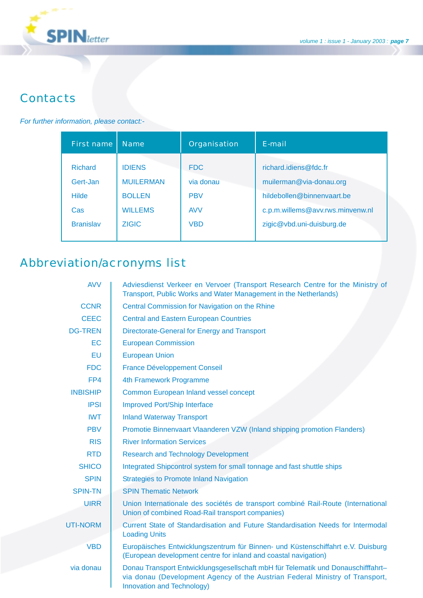

# **Contacts**

### *For further information, please contact:-*

| First name                                        | <b>Name</b>                                                          | Organisation                                        | F-mail                                                                                                             |
|---------------------------------------------------|----------------------------------------------------------------------|-----------------------------------------------------|--------------------------------------------------------------------------------------------------------------------|
| <b>Richard</b><br>Gert-Jan<br><b>Hilde</b><br>Cas | <b>IDIENS</b><br><b>MUILERMAN</b><br><b>BOLLEN</b><br><b>WILLEMS</b> | <b>FDC</b><br>via donau<br><b>PBV</b><br><b>AVV</b> | richard.idiens@fdc.fr<br>muilerman@via-donau.org<br>hildebollen@binnenvaart.be<br>c.p.m.willems@avv.rws.minvenw.nl |
| <b>Branislav</b>                                  | <b>ZIGIC</b>                                                         | <b>VBD</b>                                          | zigic@vbd.uni-duisburg.de                                                                                          |

# Abbreviation/acronyms list

| <b>AVV</b>      | Adviesdienst Verkeer en Vervoer (Transport Research Centre for the Ministry of<br>Transport, Public Works and Water Management in the Netherlands)                                             |  |  |
|-----------------|------------------------------------------------------------------------------------------------------------------------------------------------------------------------------------------------|--|--|
| <b>CCNR</b>     | Central Commission for Navigation on the Rhine                                                                                                                                                 |  |  |
| <b>CEEC</b>     | <b>Central and Eastern European Countries</b>                                                                                                                                                  |  |  |
| <b>DG-TREN</b>  | Directorate-General for Energy and Transport                                                                                                                                                   |  |  |
| <b>EC</b>       | <b>European Commission</b>                                                                                                                                                                     |  |  |
| EU              | <b>European Union</b>                                                                                                                                                                          |  |  |
| <b>FDC</b>      | <b>France Développement Conseil</b>                                                                                                                                                            |  |  |
| FP4             | 4th Framework Programme                                                                                                                                                                        |  |  |
| <b>INBISHIP</b> | Common European Inland vessel concept                                                                                                                                                          |  |  |
| <b>IPSI</b>     | <b>Improved Port/Ship Interface</b>                                                                                                                                                            |  |  |
| <b>IWT</b>      | <b>Inland Waterway Transport</b>                                                                                                                                                               |  |  |
| <b>PBV</b>      | Promotie Binnenvaart Vlaanderen VZW (Inland shipping promotion Flanders)                                                                                                                       |  |  |
| <b>RIS</b>      | <b>River Information Services</b>                                                                                                                                                              |  |  |
| <b>RTD</b>      | <b>Research and Technology Development</b>                                                                                                                                                     |  |  |
| <b>SHICO</b>    | Integrated Shipcontrol system for small tonnage and fast shuttle ships                                                                                                                         |  |  |
| <b>SPIN</b>     | <b>Strategies to Promote Inland Navigation</b>                                                                                                                                                 |  |  |
| <b>SPIN-TN</b>  | <b>SPIN Thematic Network</b>                                                                                                                                                                   |  |  |
| <b>UIRR</b>     | Union Internationale des sociétés de transport combiné Rail-Route (International<br>Union of combined Road-Rail transport companies)                                                           |  |  |
| <b>UTI-NORM</b> | Current State of Standardisation and Future Standardisation Needs for Intermodal<br><b>Loading Units</b>                                                                                       |  |  |
| <b>VBD</b>      | Europäisches Entwicklungszentrum für Binnen- und Küstenschiffahrt e.V. Duisburg<br>(European development centre for inland and coastal navigation)                                             |  |  |
| via donau       | Donau Transport Entwicklungsgesellschaft mbH für Telematik und Donauschifffahrt-<br>via donau (Development Agency of the Austrian Federal Ministry of Transport,<br>Innovation and Technology) |  |  |